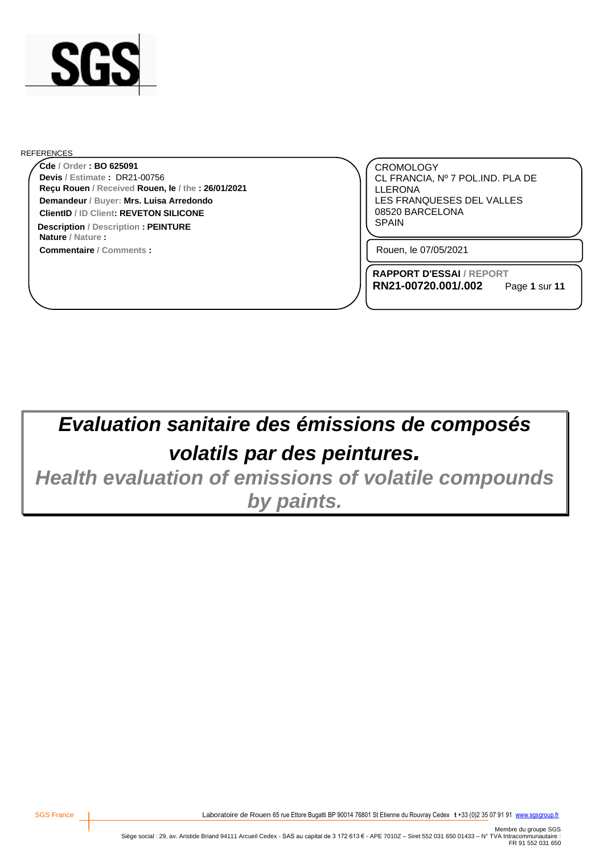

#### REFERENCES

**Reçu Rouen / Received Rouen, le / the : 26/01/2021 Cde / Order : BO 625091 Demandeur / Buyer: Mrs. Luisa Arredondo ClientID / ID Client: REVETON SILICONE Devis / Estimate :** DR21-00756

**Commentaire / Comments : Nature / Nature : Description** / Description **: PEINTURE EXECUTE: EXECUTE: EXECUTE: EXECUTE: EXECUTE: EXECUTE: EXECUTE: EXECUTE: EXECUTE: EXECUTE: EXECUTE: EXECUTE: EXECUTE: EXECUTE: EXECUTE: EXECUTE: EXEC** 

CROMOLOGY CL FRANCIA, Nº 7 POL.IND. PLA DE LLERONA LES FRANQUESES DEL VALLES 08520 BARCELONA

Rouen, le 07/05/2021

**RAPPORT D'ESSAI / REPORT RN21-00720.001/.002**

Page **1** sur **11**

# *Evaluation sanitaire des émissions de composés volatils par des peintures.*

*Health evaluation of emissions of volatile compounds by paints.*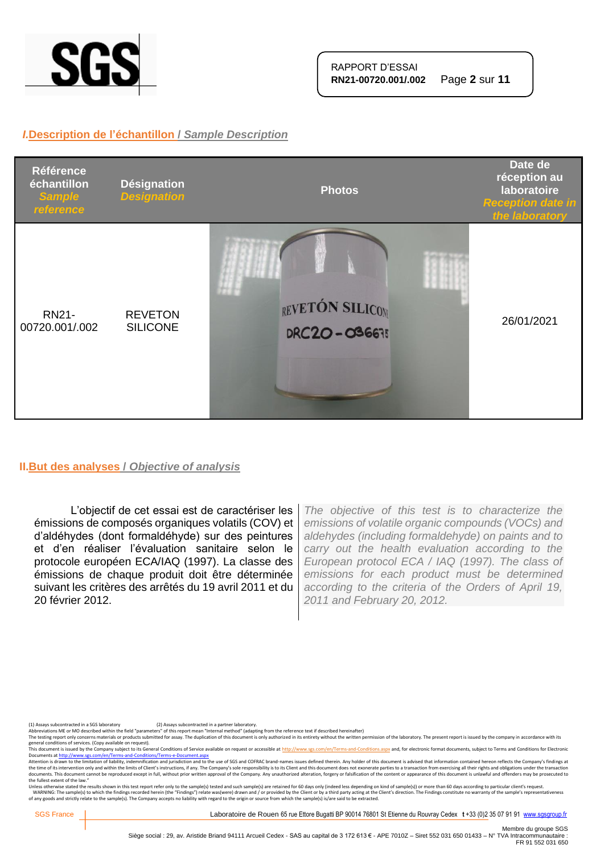

### *I.***Description de l'échantillon /** *Sample Description*



#### **II.But des analyses /** *Objective of analysis*

L'objectif de cet essai est de caractériser les émissions de composés organiques volatils (COV) et d'aldéhydes (dont formaldéhyde) sur des peintures et d'en réaliser l'évaluation sanitaire selon le protocole européen ECA/IAQ (1997). La classe des émissions de chaque produit doit être déterminée suivant les critères des arrêtés du 19 avril 2011 et du 20 février 2012.

*The objective of this test is to characterize the emissions of volatile organic compounds (VOCs) and aldehydes (including formaldehyde) on paints and to carry out the health evaluation according to the European protocol ECA / IAQ (1997). The class of emissions for each product must be determined according to the criteria of the Orders of April 19, 2011 and February 20, 2012.*

(1) Assays subcontracted in a SGS laboratory (2) Assays subcontracted in a partner laboratory.<br>Abbreviations ME or MO described within the field "parameters" of this report mean "Internal method" (adapting from the referen

The testing report only concerns materials or products submitted for assay. The duplication of this document is only authorized in its entirety without the written permission of the laboratory. The present report is issued general conditions of services. (Copy available on request).<br>This document is issued by the Company subject to its General Conditions of Service available on request or accessible at http://www.sgs.com/en/Terms-and-Conditi

Documents at <u>http://www.sg.com/en/Terms-and-Conditions/Terms-e-Document.aspx</u><br>Attention is drawn to the limitation of liability, indemalication and jurisdiction and to the use of SGS and COFRAC brand-names issues defined the fullest extent of the law."

Unless otherwise stated the results shown in this test report refer only to the sample(s) tested and such sample(s) are retained for 60 days only (indeed less depending on kind of sample(s)) or more than 60 days according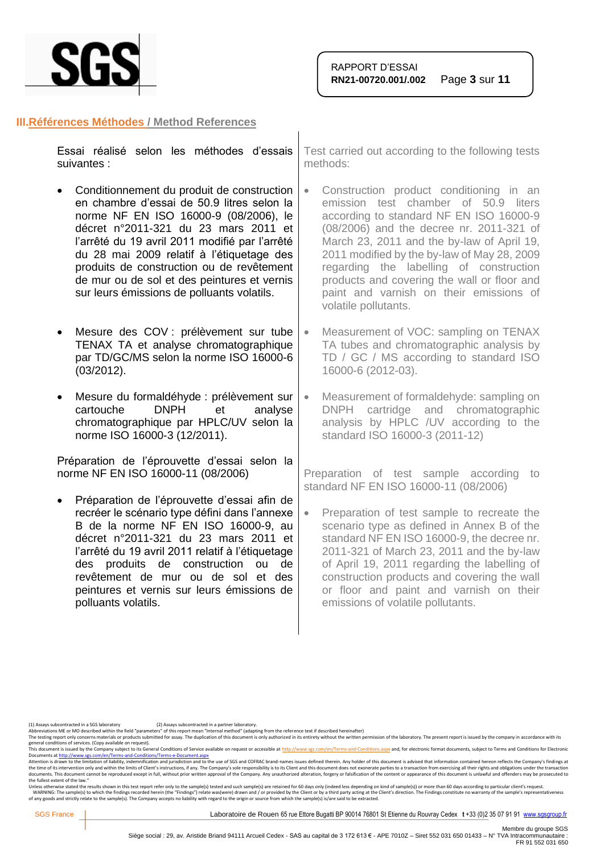

#### **III.Références Méthodes / Method References**

| Essai réalisé selon les méthodes d'essais   Test carried out according to the following<br>suivantes : | methods: |
|--------------------------------------------------------------------------------------------------------|----------|
| • Conditionnement du produit de construction   • Construction product conditioning                     |          |

- en chambre d'essai de 50.9 litres selon la norme NF EN ISO 16000-9 (08/2006), le décret n°2011-321 du 23 mars 2011 et l'arrêté du 19 avril 2011 modifié par l'arrêté du 28 mai 2009 relatif à l'étiquetage des produits de construction ou de revêtement de mur ou de sol et des peintures et vernis sur leurs émissions de polluants volatils.
- Mesure des COV : prélèvement sur tube TENAX TA et analyse chromatographique par TD/GC/MS selon la norme ISO 16000-6 (03/2012).
- Mesure du formaldéhyde : prélèvement sur cartouche DNPH et analyse chromatographique par HPLC/UV selon la norme ISO 16000-3 (12/2011).

Préparation de l'éprouvette d'essai selon la norme NF EN ISO 16000-11 (08/2006)

• Préparation de l'éprouvette d'essai afin de recréer le scénario type défini dans l'annexe B de la norme NF EN ISO 16000-9, au décret n°2011-321 du 23 mars 2011 et l'arrêté du 19 avril 2011 relatif à l'étiquetage des produits de construction ou de revêtement de mur ou de sol et des peintures et vernis sur leurs émissions de polluants volatils.

a tests

- Construction product conditioning in an emission test chamber of 50.9 liters according to standard NF EN ISO 16000-9 (08/2006) and the decree nr. 2011-321 of March 23, 2011 and the by-law of April 19, 2011 modified by the by-law of May 28, 2009 regarding the labelling of construction products and covering the wall or floor and paint and varnish on their emissions of volatile pollutants.
- Measurement of VOC: sampling on TENAX TA tubes and chromatographic analysis by TD / GC / MS according to standard ISO 16000-6 (2012-03).
- Measurement of formaldehyde: sampling on DNPH cartridge and chromatographic analysis by HPLC /UV according to the standard ISO 16000-3 (2011-12)

Preparation of test sample according to standard NF EN ISO 16000-11 (08/2006)

• Preparation of test sample to recreate the scenario type as defined in Annex B of the standard NF EN ISO 16000-9, the decree nr. 2011-321 of March 23, 2011 and the by-law of April 19, 2011 regarding the labelling of construction products and covering the wall or floor and paint and varnish on their emissions of volatile pollutants.

(1) Assays subcontracted in a SGS laboratory (2) Assays subcontracted in a partner laboratory.<br>Abbreviations ME or MO described within the field "parameters" of this report mean "Internal method" (adapting from the referen

The testing report only concerns materials or products submitted for assay. The duplication of this document is only authorized in its entirety without the written permission of the laboratory. The present report is issued

general conditions of services. (Copy available on request).<br>This document is issued by the Company subject to its General Conditions of Service available on request or accessible at <u>http://www.sgs.com/en/Terms-and-Condit</u>

Attention is drawn to the limitation of liability, indemnification and jurisdiction and to the use of SGS and COFRAC brand-names issues defined therein. Any holder of this document is advised that information contained her the fullest extent of the law."

Unless otherwise stated the results shown in this test report refer only to the sample(s) tested and such sample(s) are retained for 60 days only (indeed less depending on kind of sample(s)) or more than 60 days according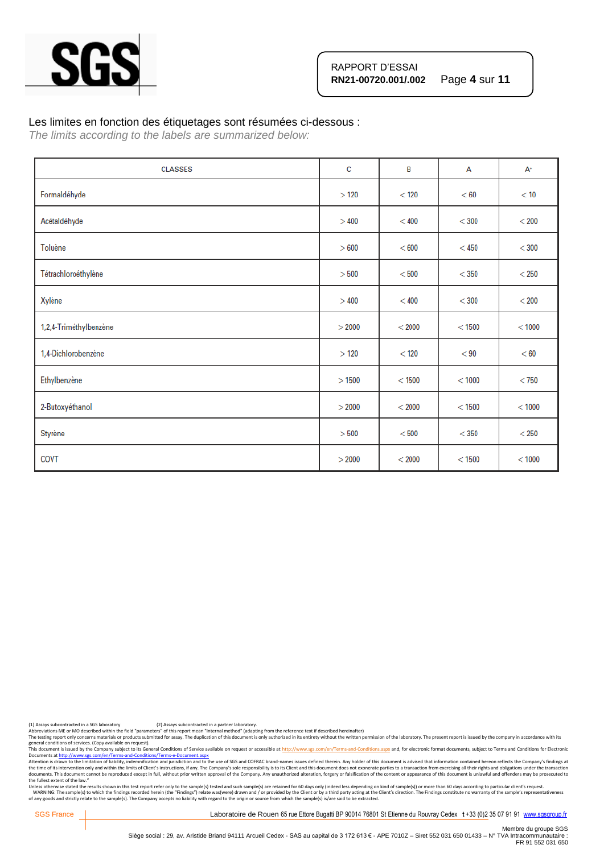

#### Les limites en fonction des étiquetages sont résumées ci-dessous :

*The limits according to the labels are summarized below:*

| <b>CLASSES</b>         | c      | B        | A        | $A^+$   |
|------------------------|--------|----------|----------|---------|
| Formaldéhyde           | >120   | $<$ 120  | < 60     | < 10    |
| Acétaldéhyde           | >400   | < 400    | $<$ 300  | $<$ 200 |
| Toluène                | > 600  | < 600    | $<$ 450  | $<$ 300 |
| Tétrachloroéthylène    | > 500  | < 500    | $<$ 350  | $<$ 250 |
| Xylène                 | >400   | < 400    | $<$ 300  | $<$ 200 |
| 1,2,4-Triméthylbenzène | > 2000 | < 2000   | $<$ 1500 | < 1000  |
| 1,4-Dichlorobenzène    | >120   | < 120    | < 90     | < 60    |
| Ethylbenzène           | >1500  | $<$ 1500 | < 1000   | $<$ 750 |
| 2-Butoxyéthanol        | > 2000 | < 2000   | < 1500   | < 1000  |
| Styrène                | > 500  | < 500    | $<$ 350  | $<$ 250 |
| COVT                   | > 2000 | < 2000   | < 1500   | < 1000  |

(1) Assays subcontracted in a SGS laboratory (2) Assays subcontracted in a partner laboratory.<br>Abbreviations ME or MO described within the field "parameters" of this report mean "Internal method" (adapting from the referen

Abbreviations ME or MO described within the neid "parameters" or this report intent intention of this document is only outhorized in its entirety without the written permission of the laboratory. The present report is issu

general conditions of services. (Copy available on request).<br>This documents a fister of the Company subject to its General Conditions of Service available on request or accessible at http://www.sgs.com/en/Terms-and-Conditi the fullest extent of the law."

Unless otherwise stated the results shown in this test report refer only to the sample(s) tested and such sample(s) are retained for 60 days only (indeed less depending on kind of sample(s)) or more than 60 days according

SGS France | Laboratoire de Rouen 65 rue Ettore Bugatti BP 90014 76801 St Etienne du Rouvray Cedex t +33 (0)2 35 07 91 91 [www.sgsgroup.fr](http://www.sgsgroup.fr/)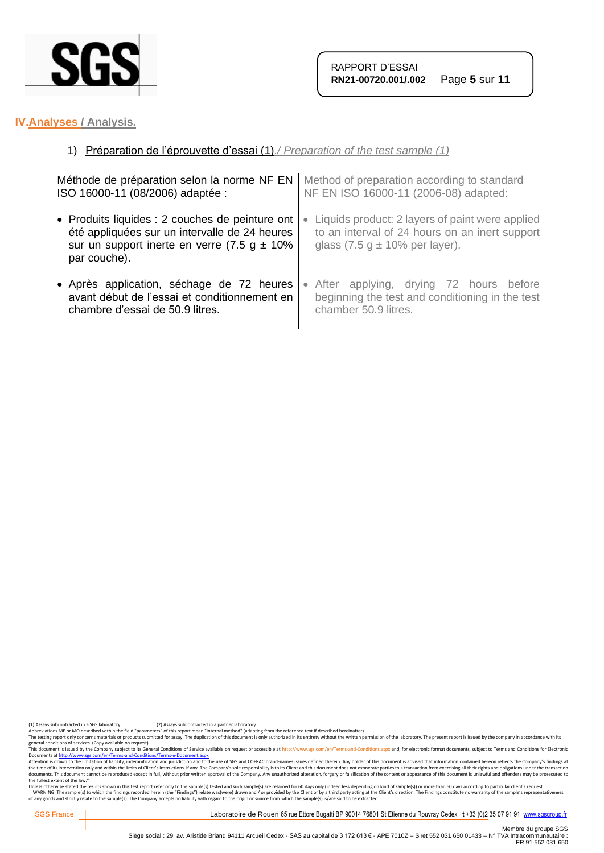

# **IV.Analyses / Analysis.**

# 1) Préparation de l'éprouvette d'essai (1)*./ Preparation of the test sample (1)*

| Méthode de préparation selon la norme NF EN       | Method of preparation according to standard     |
|---------------------------------------------------|-------------------------------------------------|
| ISO 16000-11 (08/2006) adaptée :                  | NF EN ISO 16000-11 (2006-08) adapted:           |
| • Produits liquides : 2 couches de peinture ont   | Liquids product: 2 layers of paint were applied |
| été appliquées sur un intervalle de 24 heures     | $\bullet$                                       |
| sur un support inerte en verre $(7.5 g \pm 10\%)$ | to an interval of 24 hours on an inert support  |
| par couche).                                      | glass $(7.5 g \pm 10\%$ per layer).             |
| • Après application, séchage de 72 heures         | • After applying, drying 72 hours before        |
| avant début de l'essai et conditionnement en      | beginning the test and conditioning in the test |
| chambre d'essai de 50.9 litres.                   | chamber 50.9 litres.                            |

(1) Assays subcontracted in a SGS laboratory (2) Assays subcontracted in a partner laboratory.<br>Abbreviations ME or MO described within the field "parameters" of this report mean "Internal method" (adapting from the referen

Abbrevations ML or MU described winn the fiel "parameters" of this report mean "internal methor" ledapting from the reference text if escsned neremalter)<br>The testing report only concerns materials or products submitted for

general conditions of services. (Copy available on request).<br>This documents a fister of the Company subject to its General Conditions of Service available on request or accessible at http://www.sgs.com/en/Terms-and-Conditi the fullest extent of the law."

Unless otherwise stated the results shown in this test report refer only to the sample(s) tested and such sample(s) are retained for 60 days only (indeed less depending on kind of sample(s)) or more than 60 days according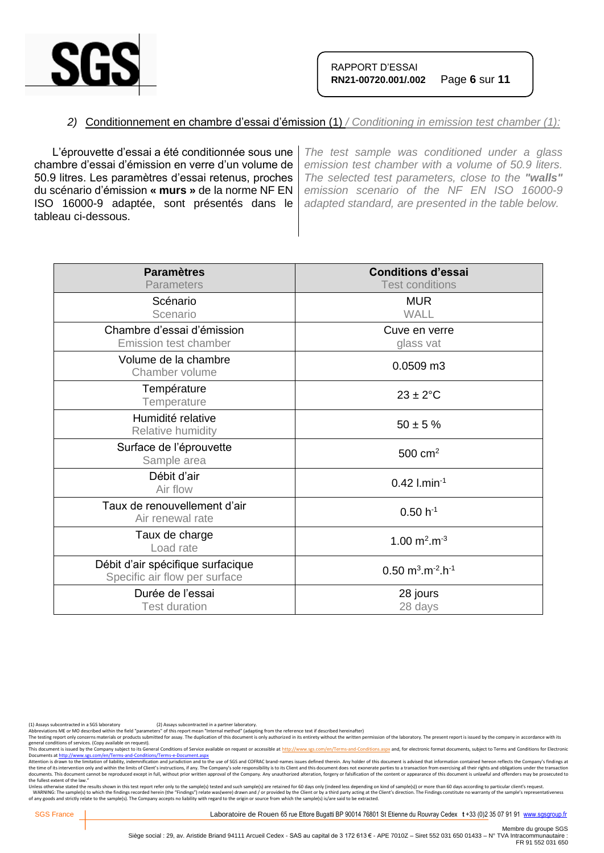

## *2)* Conditionnement en chambre d'essai d'émission (1) */ Conditioning in emission test chamber (1):*

L'éprouvette d'essai a été conditionnée sous une chambre d'essai d'émission en verre d'un volume de 50.9 litres. Les paramètres d'essai retenus, proches du scénario d'émission **« murs »** de la norme NF EN ISO 16000-9 adaptée, sont présentés dans le tableau ci-dessous.

*The test sample was conditioned under a glass emission test chamber with a volume of 50.9 liters. The selected test parameters, close to the "walls" emission scenario of the NF EN ISO 16000-9 adapted standard, are presented in the table below.*

| <b>Paramètres</b><br><b>Parameters</b>                             | <b>Conditions d'essai</b><br><b>Test conditions</b>        |
|--------------------------------------------------------------------|------------------------------------------------------------|
| Scénario<br>Scenario                                               | <b>MUR</b><br><b>WALL</b>                                  |
| Chambre d'essai d'émission<br><b>Emission test chamber</b>         | Cuve en verre<br>glass vat                                 |
| Volume de la chambre<br>Chamber volume                             | 0.0509 m3                                                  |
| Température<br>Temperature                                         | $23 \pm 2$ °C                                              |
| Humidité relative<br>Relative humidity                             | $50 \pm 5 \%$                                              |
| Surface de l'éprouvette<br>Sample area                             | $500 \text{ cm}^2$                                         |
| Débit d'air<br>Air flow                                            | $0.42$ l.min <sup>-1</sup>                                 |
| Taux de renouvellement d'air<br>Air renewal rate                   | $0.50 h^{-1}$                                              |
| Taux de charge<br>Load rate                                        | 1.00 $m^2.m^{-3}$                                          |
| Débit d'air spécifique surfacique<br>Specific air flow per surface | $0.50 \text{ m}^3 \cdot \text{m}^{-2} \cdot \text{h}^{-1}$ |
| Durée de l'essai<br><b>Test duration</b>                           | 28 jours<br>28 days                                        |

(1) Assays subcontracted in a SGS laboratory (2) Assays subcontracted in a partner laboratory.<br>Abbreviations ME or MO described within the field "parameters" of this report mean "Internal method" (adapting from the referen

The testing report only concerns materials or products submitted for assay. The duplication of this document is only authorized in its entirety without the written permission of the laboratory. The present report is issued

general conditions of services. (Copy available on request).<br>This documents a fister of the Company subject to its General Conditions of Service available on request or accessible at http://www.sgs.com/en/Terms-and-Conditi the fullest extent of the law."

Unless otherwise stated the results shown in this test report refer only to the sample(s) tested and such sample(s) are retained for 60 days only (indeed less depending on kind of sample(s)) or more than 60 days according

SGS France | Laboratoire de Rouen 65 rue Ettore Bugatti BP 90014 76801 St Etienne du Rouvray Cedex t +33 (0)2 35 07 91 91 [www.sgsgroup.fr](http://www.sgsgroup.fr/)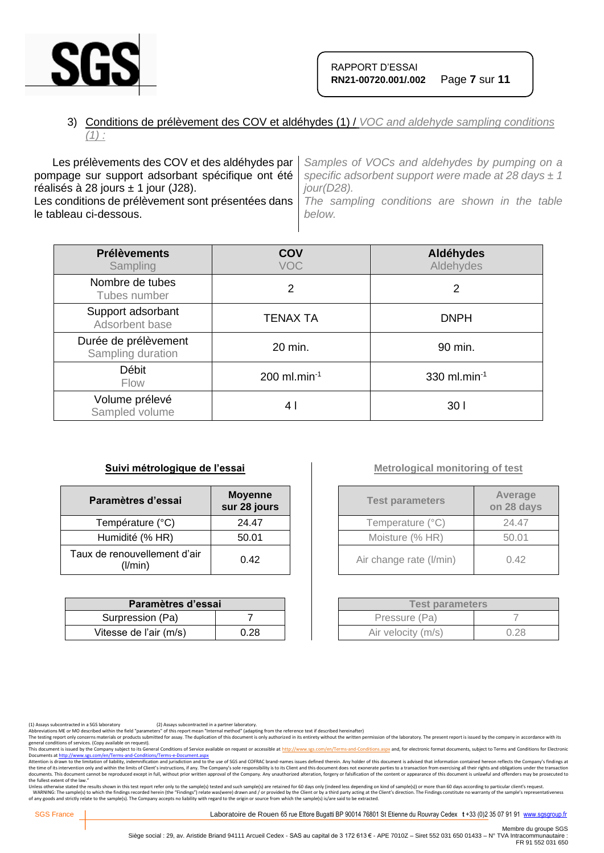

# 3) Conditions de prélèvement des COV et aldéhydes (1) / *VOC and aldehyde sampling conditions (1) :*

Les prélèvements des COV et des aldéhydes par pompage sur support adsorbant spécifique ont été réalisés à 28 jours  $\pm$  1 jour (J28). Les conditions de prélèvement sont présentées dans le tableau ci-dessous. *Samples of VOCs and aldehydes by pumping on a specific adsorbent support were made at 28 days ± 1 jour(D28). The sampling conditions are shown in the table below.*

| <b>Prélèvements</b><br>Sampling           | COV<br><b>VOC</b>          | Aldéhydes<br>Aldehydes |
|-------------------------------------------|----------------------------|------------------------|
| Nombre de tubes<br>Tubes number           | 2                          | 2                      |
| Support adsorbant<br>Adsorbent base       | <b>TENAX TA</b>            | <b>DNPH</b>            |
| Durée de prélèvement<br>Sampling duration | 20 min.                    | 90 min.                |
| Débit<br><b>Flow</b>                      | $200$ ml.min <sup>-1</sup> | 330 ml.min $^{-1}$     |
| Volume prélevé<br>Sampled volume          | 4 I                        | 30 I                   |

#### **Suivi métrologique de l'essai**

| Paramètres d'essai                      | <b>Moyenne</b><br>sur 28 jours |
|-----------------------------------------|--------------------------------|
| Température (°C)                        | 24.47                          |
| Humidité (% HR)                         | 50.01                          |
| Taux de renouvellement d'air<br>(1/min) | 0.42                           |

| Paramètres d'essai     |      |  |
|------------------------|------|--|
| Surpression (Pa)       |      |  |
| Vitesse de l'air (m/s) | 0.28 |  |

# **Metrological monitoring of test**

| <b>Test parameters</b>  | Average<br>on 28 days |
|-------------------------|-----------------------|
| Temperature (°C)        | 24.47                 |
| Moisture (% HR)         | 50.01                 |
| Air change rate (I/min) | 0.42                  |

| <b>Test parameters</b> |      |  |
|------------------------|------|--|
| Pressure (Pa)          |      |  |
| Air velocity (m/s)     | 0.28 |  |

The testing report only concerns materials or products submitted for assay. The duplication of this document is only authorized in its entirety without the written permission of the laboratory. The present report is issued

general conditions of services. (Copy available on request).<br>This documents a fister of the Company subject to its General Conditions of Service available on request or accessible at http://www.sgs.com/en/Terms-and-Conditi the fullest extent of the law."

Unless otherwise stated the results shown in this test report refer only to the sample(s) tested and such sample(s) are retained for 60 days only (indeed less depending on kind of sample(s)) or more than 60 days according

SGS France | Laboratoire de Rouen 65 rue Ettore Bugatti BP 90014 76801 St Etienne du Rouvray Cedex t +33 (0)2 35 07 91 91 [www.sgsgroup.fr](http://www.sgsgroup.fr/)

<sup>(1)</sup> Assays subcontracted in a SGS laboratory (2) Assays subcontracted in a partner laboratory.<br>Abbreviations ME or MO described within the field "parameters" of this report mean "Internal method" (adapting from the referen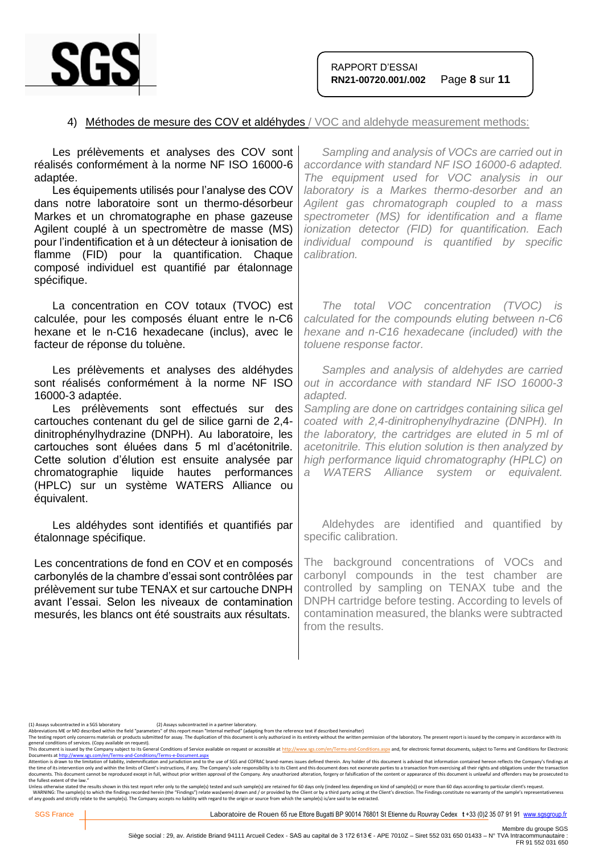

### 4) Méthodes de mesure des COV et aldéhydes / VOC and aldehyde measurement methods:

| Les prélèvements et analyses des COV sont<br>réalisés conformément à la norme NF ISO 16000-6<br>adaptée.<br>Les équipements utilisés pour l'analyse des COV<br>dans notre laboratoire sont un thermo-désorbeur<br>Markes et un chromatographe en phase gazeuse<br>Agilent couplé à un spectromètre de masse (MS)<br>pour l'indentification et à un détecteur à ionisation de<br>flamme (FID) pour la quantification. Chaque<br>composé individuel est quantifié par étalonnage<br>spécifique. | Sampling and analysis of VOCs are carried out in<br>accordance with standard NF ISO 16000-6 adapted.<br>The equipment used for VOC analysis in our<br>laboratory is a Markes thermo-desorber and an<br>Agilent gas chromatograph coupled to a mass<br>spectrometer (MS) for identification and a flame<br>ionization detector (FID) for quantification. Each<br>individual compound is quantified by specific<br>calibration.                    |
|-----------------------------------------------------------------------------------------------------------------------------------------------------------------------------------------------------------------------------------------------------------------------------------------------------------------------------------------------------------------------------------------------------------------------------------------------------------------------------------------------|--------------------------------------------------------------------------------------------------------------------------------------------------------------------------------------------------------------------------------------------------------------------------------------------------------------------------------------------------------------------------------------------------------------------------------------------------|
| La concentration en COV totaux (TVOC) est<br>calculée, pour les composés éluant entre le n-C6<br>hexane et le n-C16 hexadecane (inclus), avec le<br>facteur de réponse du toluène.                                                                                                                                                                                                                                                                                                            | The total VOC concentration (TVOC) is<br>calculated for the compounds eluting between n-C6<br>hexane and n-C16 hexadecane (included) with the<br>toluene response factor.                                                                                                                                                                                                                                                                        |
| Les prélèvements et analyses des aldéhydes<br>sont réalisés conformément à la norme NF ISO<br>16000-3 adaptée.<br>Les prélèvements sont effectués sur des<br>cartouches contenant du gel de silice garni de 2,4-<br>dinitrophénylhydrazine (DNPH). Au laboratoire, les<br>cartouches sont éluées dans 5 ml d'acétonitrile.<br>Cette solution d'élution est ensuite analysée par<br>chromatographie liquide hautes performances<br>(HPLC) sur un système WATERS Alliance ou<br>équivalent.     | Samples and analysis of aldehydes are carried<br>out in accordance with standard NF ISO 16000-3<br>adapted.<br>Sampling are done on cartridges containing silica gel<br>coated with 2,4-dinitrophenylhydrazine (DNPH). In<br>the laboratory, the cartridges are eluted in 5 ml of<br>acetonitrile. This elution solution is then analyzed by<br>high performance liquid chromatography (HPLC) on<br>WATERS Alliance system or equivalent.<br>a - |
| Les aldéhydes sont identifiés et quantifiés par<br>étalonnage spécifique.                                                                                                                                                                                                                                                                                                                                                                                                                     | Aldehydes are identified and quantified by<br>specific calibration.                                                                                                                                                                                                                                                                                                                                                                              |
| Les concentrations de fond en COV et en composés<br>carbonylés de la chambre d'essai sont contrôlées par<br>prélèvement sur tube TENAX et sur cartouche DNPH<br>avant l'essai. Selon les niveaux de contamination<br>mesurés, les blancs ont été soustraits aux résultats.                                                                                                                                                                                                                    | The background concentrations of VOCs and<br>carbonyl compounds in the test chamber are<br>controlled by sampling on TENAX tube and the<br>DNPH cartridge before testing. According to levels of<br>contamination measured, the blanks were subtracted<br>from the results.                                                                                                                                                                      |
|                                                                                                                                                                                                                                                                                                                                                                                                                                                                                               |                                                                                                                                                                                                                                                                                                                                                                                                                                                  |

general conditions of services. (Copy available on request).<br>This documents a fister of the Company subject to its General Conditions of Service available on request or accessible at http://www.sgs.com/en/Terms-and-Conditi the fullest extent of the law."

Unless otherwise stated the results shown in this test report refer only to the sample(s) tested and such sample(s) are retained for 60 days only (indeed less depending on kind of sample(s)) or more than 60 days according

<sup>(1)</sup> Assays subcontracted in a SGS laboratory (2) Assays subcontracted in a partner laboratory.<br>Abbreviations ME or MO described within the field "parameters" of this report mean "Internal method" (adapting from the referen

Abbrevations ML or MU described winn the fiel "parameters" of this report mean "internal methor" ledapting from the reference text if escsned neremalter)<br>The testing report only concerns materials or products submitted for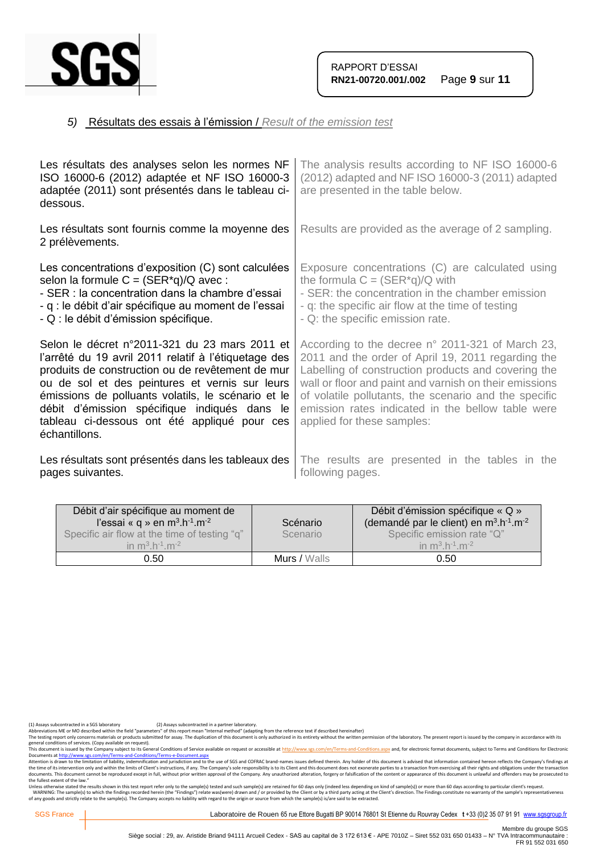

# *5)* Résultats des essais à l'émission / *Result of the emission test*

| Les résultats des analyses selon les normes NF<br>ISO 16000-6 (2012) adaptée et NF ISO 16000-3<br>adaptée (2011) sont présentés dans le tableau ci-<br>dessous.                                                                                                                                                                                                                    | The analysis results according to NF ISO 16000-6<br>(2012) adapted and NF ISO 16000-3 (2011) adapted<br>are presented in the table below.                                                                                                                                                                                                                           |
|------------------------------------------------------------------------------------------------------------------------------------------------------------------------------------------------------------------------------------------------------------------------------------------------------------------------------------------------------------------------------------|---------------------------------------------------------------------------------------------------------------------------------------------------------------------------------------------------------------------------------------------------------------------------------------------------------------------------------------------------------------------|
| Les résultats sont fournis comme la moyenne des<br>2 prélèvements.                                                                                                                                                                                                                                                                                                                 | Results are provided as the average of 2 sampling.                                                                                                                                                                                                                                                                                                                  |
| Les concentrations d'exposition (C) sont calculées<br>selon la formule $C = (SER^*q)/Q$ avec:<br>- SER : la concentration dans la chambre d'essai<br>- q : le débit d'air spécifique au moment de l'essai<br>- Q : le débit d'émission spécifique.                                                                                                                                 | Exposure concentrations (C) are calculated using<br>the formula $C = (SER^*q)/Q$ with<br>- SER: the concentration in the chamber emission<br>- q: the specific air flow at the time of testing<br>- Q: the specific emission rate.                                                                                                                                  |
| Selon le décret n°2011-321 du 23 mars 2011 et<br>l'arrêté du 19 avril 2011 relatif à l'étiquetage des<br>produits de construction ou de revêtement de mur<br>ou de sol et des peintures et vernis sur leurs<br>émissions de polluants volatils, le scénario et le<br>débit d'émission spécifique indiqués dans le<br>tableau ci-dessous ont été appliqué pour ces<br>échantillons. | According to the decree n° 2011-321 of March 23,<br>2011 and the order of April 19, 2011 regarding the<br>Labelling of construction products and covering the<br>wall or floor and paint and varnish on their emissions<br>of volatile pollutants, the scenario and the specific<br>emission rates indicated in the bellow table were<br>applied for these samples: |
| Les résultats sont présentés dans les tableaux des<br>pages suivantes.                                                                                                                                                                                                                                                                                                             | The results are presented in the tables in the<br>following pages.                                                                                                                                                                                                                                                                                                  |

| Débit d'air spécifique au moment de<br>l'essai « q » en $m^3.h^{-1}.m^{-2}$<br>Specific air flow at the time of testing "q"<br>in $m^3 h^{-1} m^{-2}$ | Scénario<br>Scenario | Débit d'émission spécifique « Q »<br>(demandé par le client) en $m^3 \cdot h^{-1} \cdot m^{-2}$<br>Specific emission rate "Q"<br>in $m^3 h^{-1} m^{-2}$ |
|-------------------------------------------------------------------------------------------------------------------------------------------------------|----------------------|---------------------------------------------------------------------------------------------------------------------------------------------------------|
| 0.50                                                                                                                                                  | Murs / Walls         | 0.50                                                                                                                                                    |

(1) Assays subcontracted in a SGS laboratory (2) Assays subcontracted in a partner laboratory.<br>Abbreviations ME or MO described within the field "parameters" of this report mean "Internal method" (adapting from the referen

Abbrevations ML or MU described winn the fiel "parameters" of this report mean "internal methor" ledapting from the reference text if escsned neremalter)<br>The testing report only concerns materials or products submitted for

general conditions of services. (Copy available on request).<br>This documents a fister of the Company subject to its General Conditions of Service available on request or accessible at http://www.sgs.com/en/Terms-and-Conditi the fullest extent of the law."

Unless otherwise stated the results shown in this test report refer only to the sample(s) tested and such sample(s) are retained for 60 days only (indeed less depending on kind of sample(s)) or more than 60 days according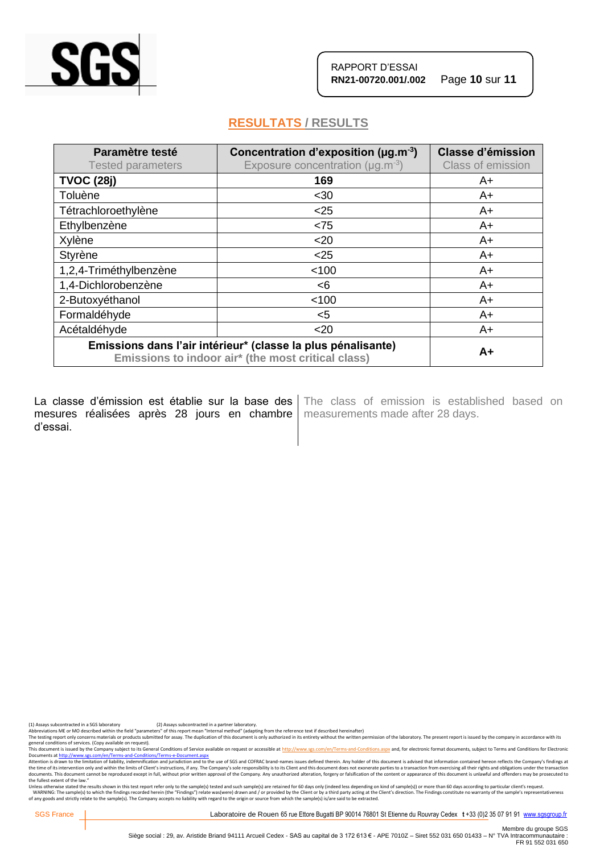

# **RESULTATS / RESULTS**

| Paramètre testé<br><b>Tested parameters</b>                                                                        | Concentration d'exposition ( $\mu$ g.m <sup>-3</sup> )<br>Exposure concentration ( $\mu$ g.m <sup>-3</sup> ) | <b>Classe d'émission</b><br>Class of emission |
|--------------------------------------------------------------------------------------------------------------------|--------------------------------------------------------------------------------------------------------------|-----------------------------------------------|
| <b>TVOC (28j)</b>                                                                                                  | 169                                                                                                          | A+                                            |
| Toluène                                                                                                            | $30$                                                                                                         | $A+$                                          |
| Tétrachloroethylène                                                                                                | $<$ 25                                                                                                       | A+                                            |
| Ethylbenzène                                                                                                       | < 75                                                                                                         | A+                                            |
| Xylène                                                                                                             | $20$                                                                                                         | A+                                            |
| Styrène                                                                                                            | $<$ 25                                                                                                       | A+                                            |
| 1,2,4-Triméthylbenzène                                                                                             | < 100                                                                                                        | A+                                            |
| 1,4-Dichlorobenzène                                                                                                | < 6                                                                                                          | A+                                            |
| 2-Butoxyéthanol                                                                                                    | < 100                                                                                                        | A+                                            |
| Formaldéhyde                                                                                                       | $<$ 5                                                                                                        | $A+$                                          |
| Acétaldéhyde                                                                                                       | $20$                                                                                                         | A+                                            |
| Emissions dans l'air intérieur* (classe la plus pénalisante)<br>Emissions to indoor air* (the most critical class) |                                                                                                              | $A+$                                          |

La classe d'émission est établie sur la base des mesures réalisées après 28 jours en chambre | measurements made after 28 days. d'essai.

The class of emission is established based on

(1) Assays subcontracted in a SGS laboratory (2) Assays subcontracted in a partner laboratory.<br>Abbreviations ME or MO described within the field "parameters" of this report mean "Internal method" (adapting from the referen

The testing report only concerns materials or products submitted for assay. The duplication of this document is only authorized in its entirety without the written permission of the laboratory. The present report is issued

general conditions of services. (Copy available on request).<br>This documents a fister of the Company subject to its General Conditions of Service available on request or accessible at http://www.sgs.com/en/Terms-and-Conditi the fullest extent of the law."

Unless otherwise stated the results shown in this test report refer only to the sample(s) tested and such sample(s) are retained for 60 days only (indeed less depending on kind of sample(s)) or more than 60 days according